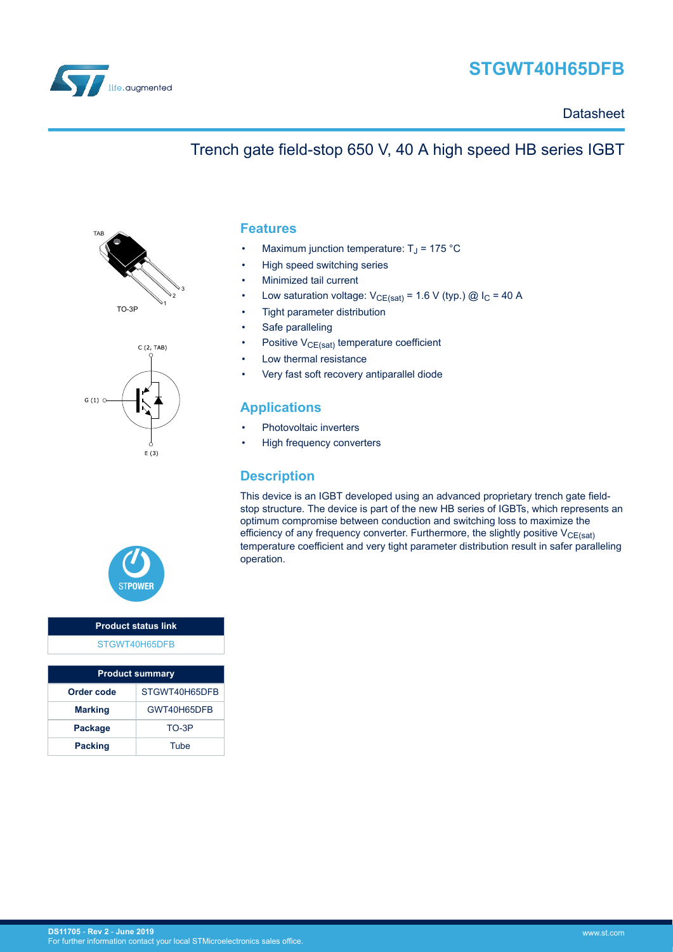

# **STGWT40H65DFB**

#### **Datasheet**

### Trench gate field-stop 650 V, 40 A high speed HB series IGBT







#### **Product status link** [STGWT40H65DFB](https://www.st.com/en/product/STGWT40H65DFB)

| <b>Product summary</b> |               |  |  |  |
|------------------------|---------------|--|--|--|
| Order code             | STGWT40H65DFB |  |  |  |
| <b>Marking</b>         | GWT40H65DFB   |  |  |  |
| <b>Package</b>         | TO-3P         |  |  |  |
| <b>Packing</b>         | Tube          |  |  |  |

#### **Features**

- Maximum junction temperature:  $T_J$  = 175 °C
- High speed switching series
- Minimized tail current
- Low saturation voltage:  $V_{CE(sat)} = 1.6 V$  (typ.) @  $I_C = 40 A$
- Tight parameter distribution
- Safe paralleling
- Positive  $V_{CE(sat)}$  temperature coefficient
- Low thermal resistance
- Very fast soft recovery antiparallel diode

#### **Applications**

- Photovoltaic inverters
- High frequency converters

#### **Description**

This device is an IGBT developed using an advanced proprietary trench gate fieldstop structure. The device is part of the new HB series of IGBTs, which represents an optimum compromise between conduction and switching loss to maximize the efficiency of any frequency converter. Furthermore, the slightly positive  $V_{CE(sat)}$ temperature coefficient and very tight parameter distribution result in safer paralleling operation.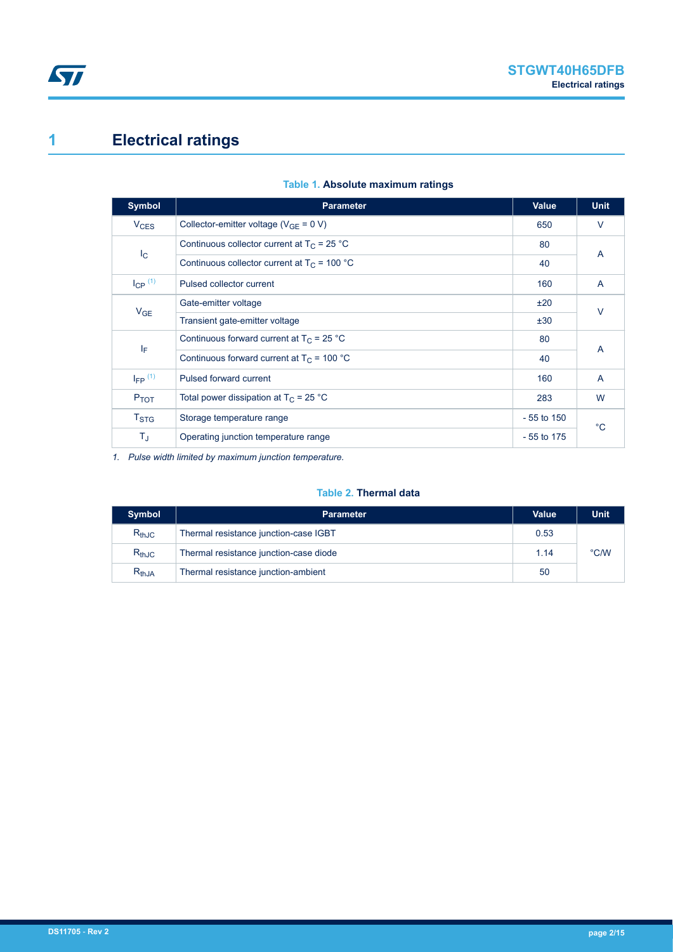# <span id="page-1-0"></span>**1 Electrical ratings**

| <b>Symbol</b>          | <b>Parameter</b>                               | <b>Value</b> | <b>Unit</b> |
|------------------------|------------------------------------------------|--------------|-------------|
| <b>V<sub>CES</sub></b> | Collector-emitter voltage ( $V_{GF} = 0 V$ )   | 650          | $\vee$      |
|                        | Continuous collector current at $T_C = 25 °C$  | 80           |             |
| $I_{\rm C}$            | Continuous collector current at $T_c$ = 100 °C | 40           | A           |
| $I_{CP}$ $(1)$         | Pulsed collector current                       | 160          | A           |
| V <sub>GE</sub>        | Gate-emitter voltage                           | ±20          | $\vee$      |
|                        | Transient gate-emitter voltage                 | ±30          |             |
|                        | Continuous forward current at $T_C = 25 °C$    | 80           | A           |
| ΙF                     | Continuous forward current at $T_C$ = 100 °C   | 40           |             |
| $I_{FP}$ (1)           | Pulsed forward current                         | 160          | A           |
| $P_{TOT}$              | Total power dissipation at $T_C = 25$ °C       | 283          | W           |
| $T_{\mathrm{STG}}$     | Storage temperature range                      | $-55$ to 150 | $^{\circ}C$ |
| $T_{\sf J}$            | Operating junction temperature range           | $-55$ to 175 |             |

#### **Table 1. Absolute maximum ratings**

*1. Pulse width limited by maximum junction temperature.*

#### **Table 2. Thermal data**

| <b>Symbol</b> | <b>Parameter</b>                       |      | <b>Unit</b> |
|---------------|----------------------------------------|------|-------------|
| $R_{thJC}$    | Thermal resistance junction-case IGBT  | 0.53 |             |
| $R_{thJC}$    | Thermal resistance junction-case diode | 1.14 | °C/W        |
| $R_{th,JA}$   | Thermal resistance junction-ambient    | 50   |             |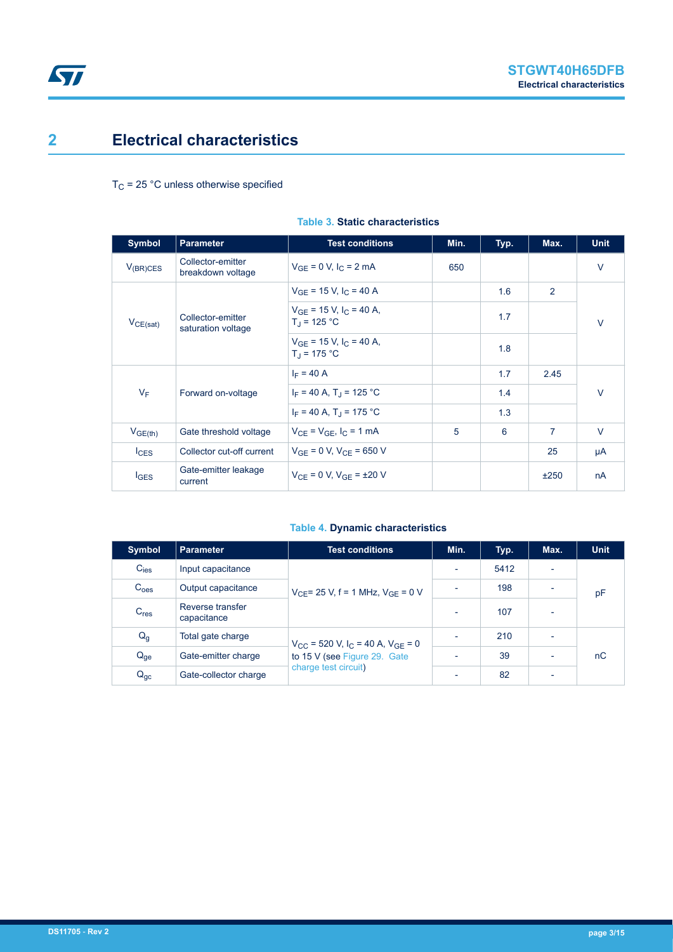### <span id="page-2-0"></span>**2 Electrical characteristics**

 $T_C$  = 25 °C unless otherwise specified

| <b>Symbol</b>    | <b>Parameter</b>                        | <b>Test conditions</b>                                          | Min. | Typ. | Max. | <b>Unit</b> |
|------------------|-----------------------------------------|-----------------------------------------------------------------|------|------|------|-------------|
| $V_{(BR)CES}$    | Collector-emitter<br>breakdown voltage  | $V_{GF} = 0 V, I_{C} = 2 mA$                                    | 650  |      |      | $\vee$      |
|                  |                                         | $V_{GF}$ = 15 V, I <sub>C</sub> = 40 A                          |      | 1.6  | 2    | $\vee$      |
| $V_{CE(sat)}$    | Collector-emitter<br>saturation voltage | $V_{GE}$ = 15 V, $I_C$ = 40 A,<br>$T_{\rm d}$ = 125 °C          |      | 1.7  |      |             |
|                  |                                         | $V_{GF}$ = 15 V, I <sub>C</sub> = 40 A,<br>$T_{\rm d}$ = 175 °C |      | 1.8  |      |             |
|                  | Forward on-voltage                      | $I_F = 40 A$                                                    |      | 1.7  | 2.45 | $\vee$      |
| $V_F$            |                                         | $I_F = 40 A$ , T <sub>J</sub> = 125 °C                          |      | 1.4  |      |             |
|                  |                                         | $I_F = 40 A$ , T <sub>J</sub> = 175 °C                          |      | 1.3  |      |             |
| $V_{GE(th)}$     | Gate threshold voltage                  | $V_{CF} = V_{GF}$ , $I_C = 1$ mA                                | 5    | 6    | 7    | $\vee$      |
| lc <sub>ES</sub> | Collector cut-off current               | $V_{GF} = 0 V$ , $V_{CF} = 650 V$                               |      |      | 25   | μA          |
| $I_{\text{GES}}$ | Gate-emitter leakage<br>current         | $V_{CF} = 0 V$ , $V_{GF} = \pm 20 V$                            |      |      | ±250 | nA          |

#### **Table 3. Static characteristics**

#### **Table 4. Dynamic characteristics**

| <b>Symbol</b>    | <b>Parameter</b>                | <b>Test conditions</b>                                                                                               | Min.                     | Typ. | Max.                     | Unit |
|------------------|---------------------------------|----------------------------------------------------------------------------------------------------------------------|--------------------------|------|--------------------------|------|
| $C_{\text{ies}}$ | Input capacitance               | $V_{\text{CE}}$ = 25 V, f = 1 MHz, $V_{\text{GE}}$ = 0 V                                                             |                          | 5412 |                          |      |
| C <sub>oes</sub> | Output capacitance              |                                                                                                                      | ٠                        | 198  | $\overline{\phantom{a}}$ | pF   |
| C <sub>res</sub> | Reverse transfer<br>capacitance |                                                                                                                      | $\overline{\phantom{a}}$ | 107  | $\overline{\phantom{a}}$ |      |
| $Q_g$            | Total gate charge               | $V_{CC}$ = 520 V, I <sub>C</sub> = 40 A, V <sub>GE</sub> = 0<br>to 15 V (see Figure 29. Gate<br>charge test circuit) | $\overline{\phantom{0}}$ | 210  | $\overline{\phantom{0}}$ |      |
| $Q_{ge}$         | Gate-emitter charge             |                                                                                                                      |                          | 39   | ٠                        | nC   |
| $Q_{gc}$         | Gate-collector charge           |                                                                                                                      | $\overline{\phantom{0}}$ | 82   | $\overline{\phantom{a}}$ |      |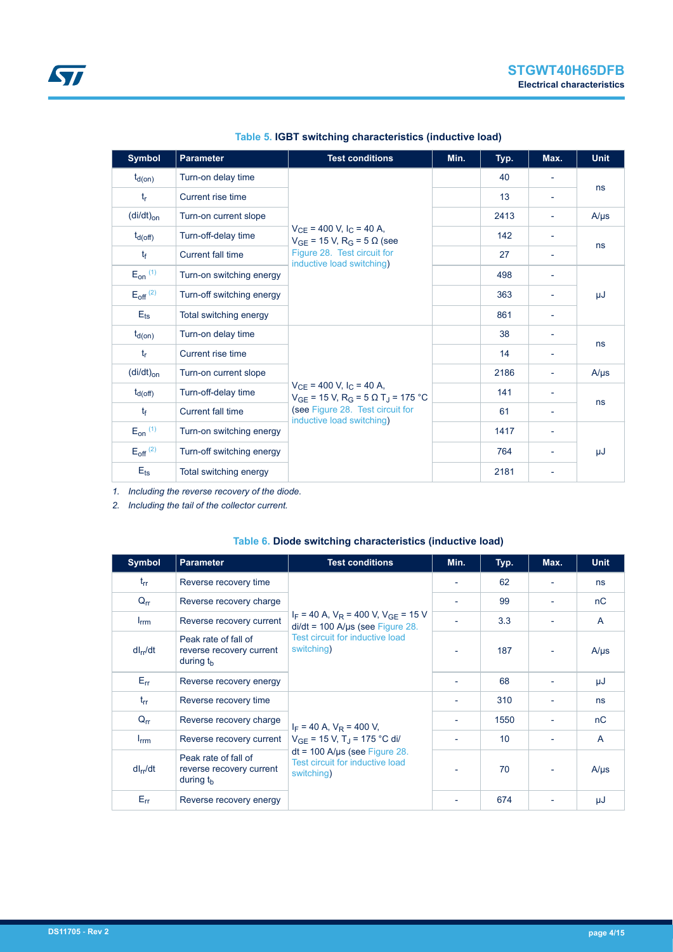<span id="page-3-0"></span>

| <b>Symbol</b>            | <b>Parameter</b><br><b>Test conditions</b> |                                                                                                           | Min. | Typ. | Max.                     | <b>Unit</b> |
|--------------------------|--------------------------------------------|-----------------------------------------------------------------------------------------------------------|------|------|--------------------------|-------------|
| $t_{d(on)}$              | Turn-on delay time                         |                                                                                                           |      | 40   | $\overline{\phantom{a}}$ |             |
| $t_{r}$                  | Current rise time                          |                                                                                                           |      | 13   | $\overline{\phantom{0}}$ | ns          |
| $(di/dt)_{on}$           | Turn-on current slope                      |                                                                                                           |      | 2413 |                          | $A/\mu s$   |
| $t_{d(off)}$             | Turn-off-delay time                        | $V_{CE}$ = 400 V, I <sub>C</sub> = 40 A,<br>$V_{GE}$ = 15 V, R <sub>G</sub> = 5 Ω (see                    |      | 142  | $\overline{\phantom{a}}$ |             |
| $t_{\rm f}$              | <b>Current fall time</b>                   | Figure 28. Test circuit for<br>inductive load switching)                                                  |      | 27   | $\overline{\phantom{a}}$ | ns          |
| $E_{on}$ (1)             | Turn-on switching energy                   |                                                                                                           |      | 498  |                          |             |
| $E_{off}$ <sup>(2)</sup> | Turn-off switching energy                  |                                                                                                           |      | 363  |                          | μJ          |
| $E_{\text{ts}}$          | Total switching energy                     |                                                                                                           |      | 861  |                          |             |
| $t_{d(on)}$              | Turn-on delay time                         |                                                                                                           |      | 38   | ٠                        |             |
| $t_{\rm r}$              | Current rise time                          |                                                                                                           |      | 14   | $\overline{\phantom{a}}$ | ns          |
| $(di/dt)_{on}$           | Turn-on current slope                      |                                                                                                           |      | 2186 |                          | $A/\mu s$   |
| $t_{d(off)}$             | Turn-off-delay time                        | $V_{CE}$ = 400 V, I <sub>C</sub> = 40 A,<br>$V_{GE}$ = 15 V, R <sub>G</sub> = 5 Q T <sub>J</sub> = 175 °C |      | 141  | $\overline{\phantom{a}}$ |             |
| $t_{\rm f}$              | <b>Current fall time</b>                   | (see Figure 28. Test circuit for<br>inductive load switching)                                             |      | 61   | $\overline{\phantom{a}}$ | ns          |
| $E_{on}$ $(1)$           | Turn-on switching energy                   |                                                                                                           |      | 1417 |                          |             |
| $E_{off}$ <sup>(2)</sup> | Turn-off switching energy                  |                                                                                                           |      | 764  |                          | μJ          |
| $E_{\text{ts}}$          | Total switching energy                     |                                                                                                           |      | 2181 |                          |             |

**Table 5. IGBT switching characteristics (inductive load)**

*1. Including the reverse recovery of the diode.*

*2. Including the tail of the collector current.*

| <b>Symbol</b>    | <b>Parameter</b>                                                | <b>Test conditions</b>                                                                                                              | Min. | Typ. | Max. | <b>Unit</b>    |
|------------------|-----------------------------------------------------------------|-------------------------------------------------------------------------------------------------------------------------------------|------|------|------|----------------|
| $t_{rr}$         | Reverse recovery time                                           |                                                                                                                                     |      | 62   |      | ns             |
| $Q_{rr}$         | Reverse recovery charge                                         |                                                                                                                                     |      | 99   |      | nC             |
| $I_{\text{rrm}}$ | Reverse recovery current                                        | $I_F$ = 40 A, $V_R$ = 400 V, $V_{GF}$ = 15 V<br>$di/dt = 100$ A/µs (see Figure 28.<br>Test circuit for inductive load<br>switching) |      | 3.3  |      | A              |
| $dl_{rr}/dt$     | Peak rate of fall of<br>reverse recovery current<br>during $th$ |                                                                                                                                     |      | 187  |      | $A/\mu s$      |
| $E_{rr}$         | Reverse recovery energy                                         |                                                                                                                                     |      | 68   |      | μJ             |
| $t_{rr}$         | Reverse recovery time                                           |                                                                                                                                     |      | 310  |      | ns             |
| $Q_{rr}$         | Reverse recovery charge                                         | $I_F = 40$ A, $V_R = 400$ V,                                                                                                        |      | 1550 |      | nC             |
| $I_{\text{rrm}}$ | Reverse recovery current                                        | $V_{GF}$ = 15 V, T <sub>J</sub> = 175 °C di/                                                                                        |      | 10   |      | $\overline{A}$ |
| $dl_{rr}/dt$     | Peak rate of fall of<br>reverse recovery current<br>during $th$ | $dt = 100$ A/µs (see Figure 28.<br>Test circuit for inductive load<br>switching)                                                    |      | 70   |      | $A/\mu s$      |
| $E_{rr}$         | Reverse recovery energy                                         |                                                                                                                                     |      | 674  |      | μJ             |

#### **Table 6. Diode switching characteristics (inductive load)**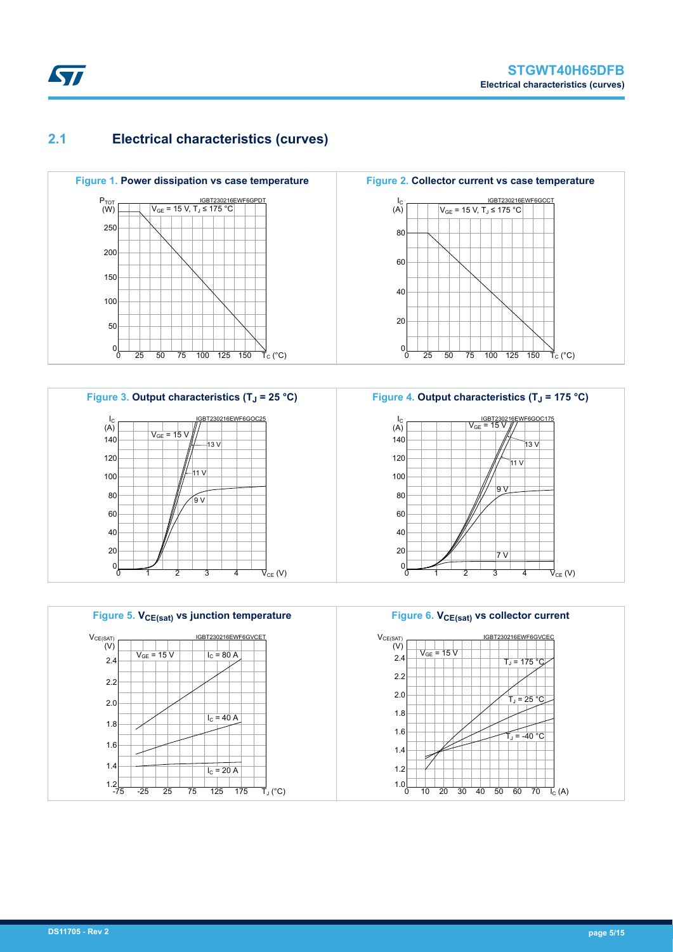### **2.1 Electrical characteristics (curves)**











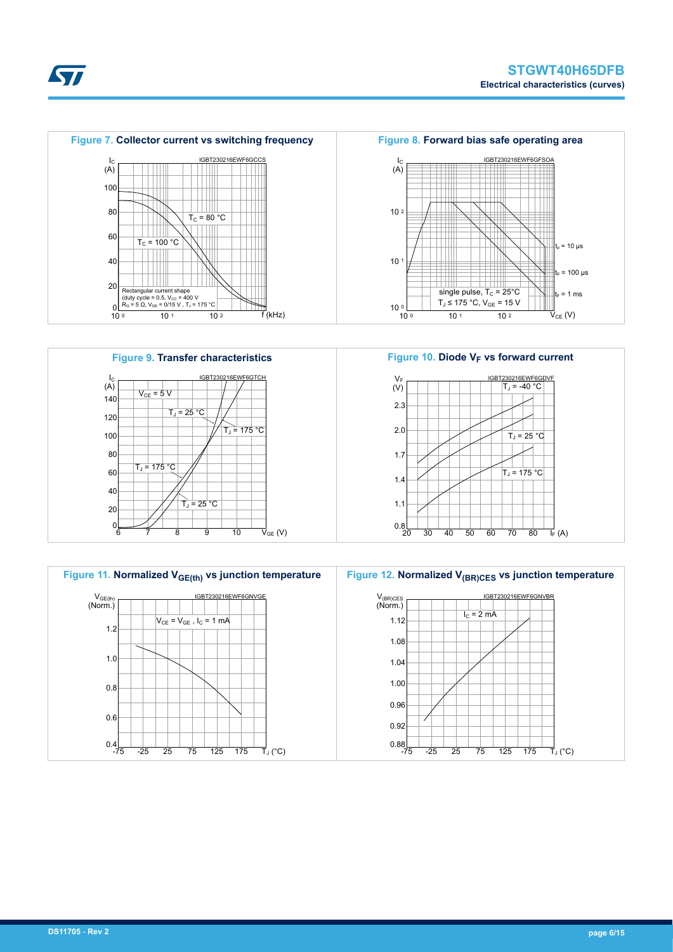









**STI**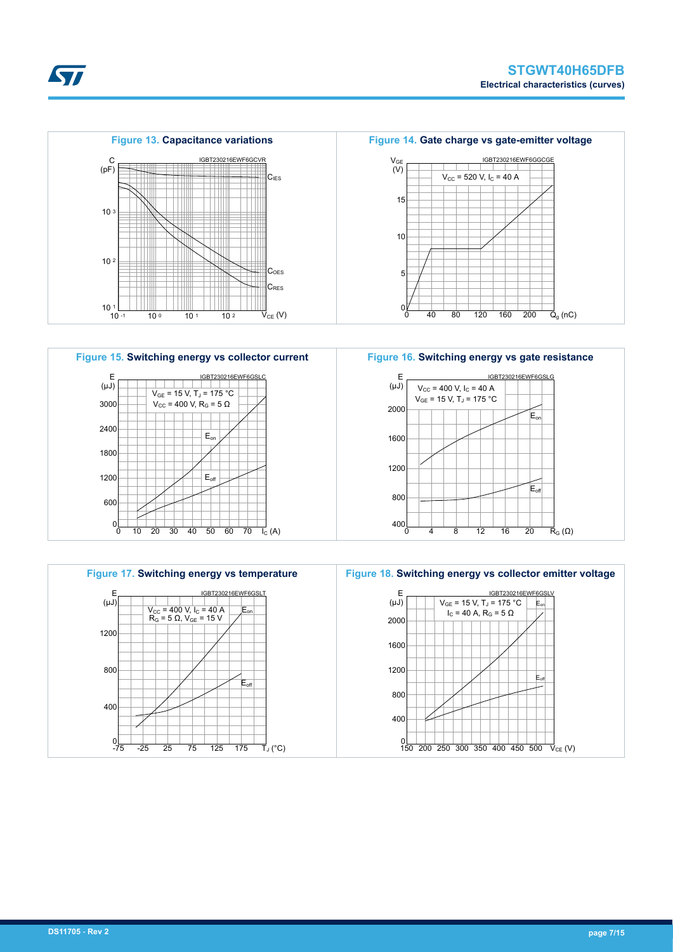



**Figure 16. Switching energy vs gate resistance**





**Kyr**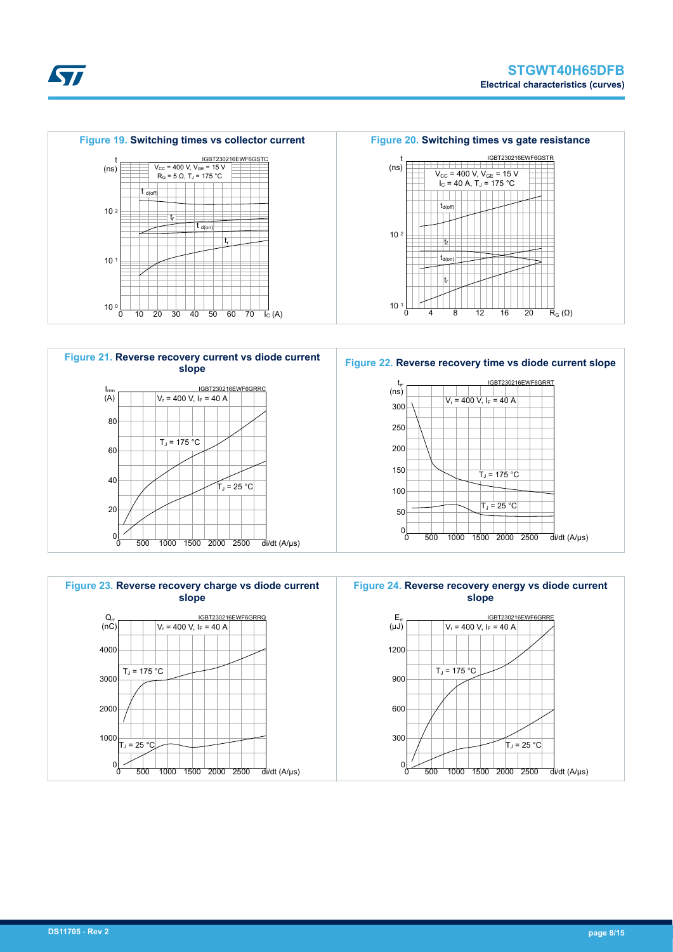





**Kyr**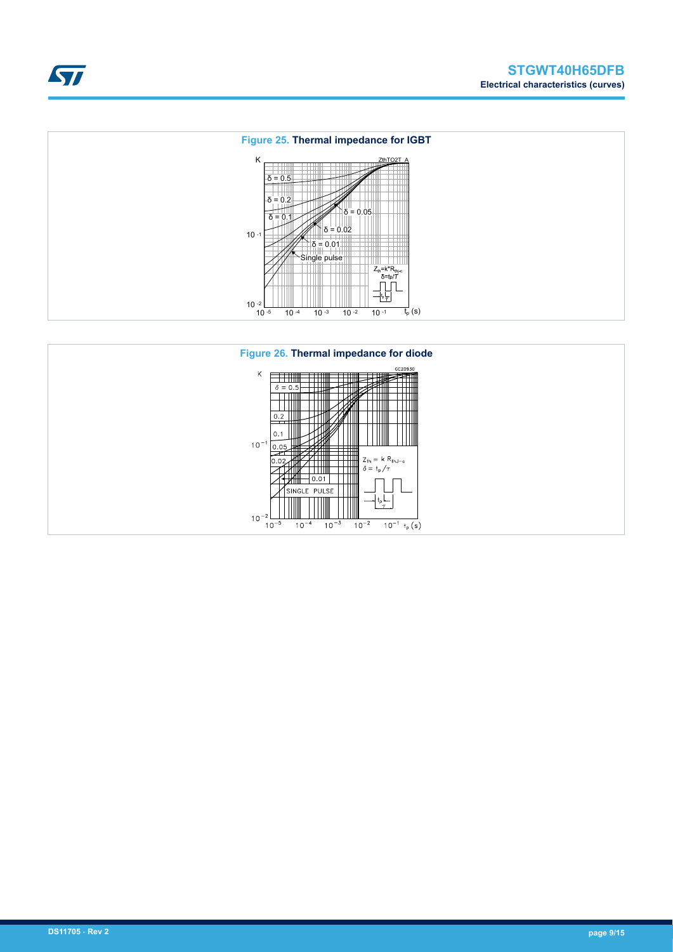



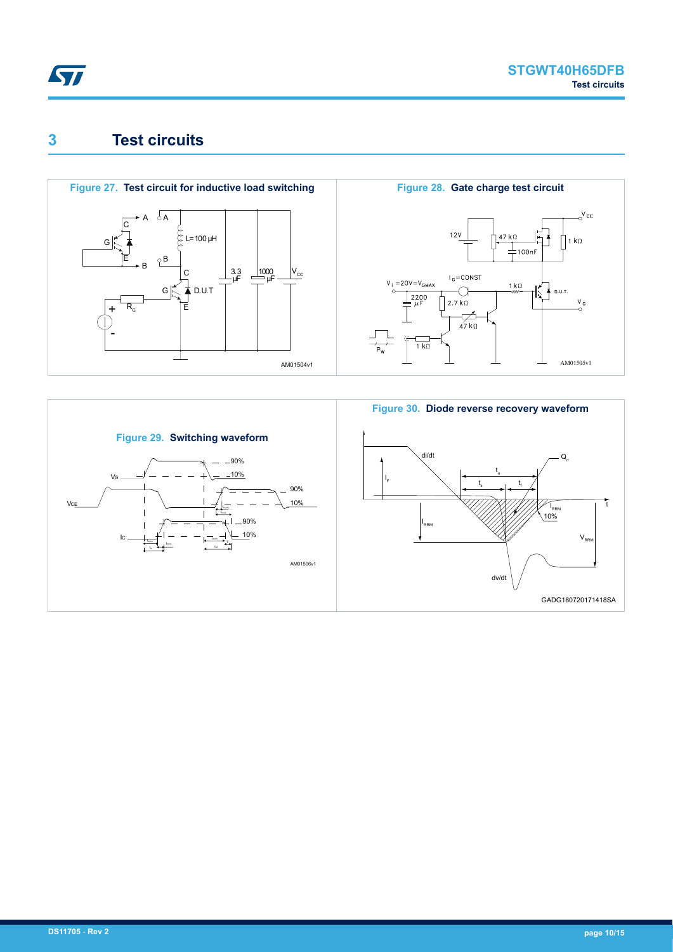<span id="page-9-0"></span>

### **3 Test circuits**



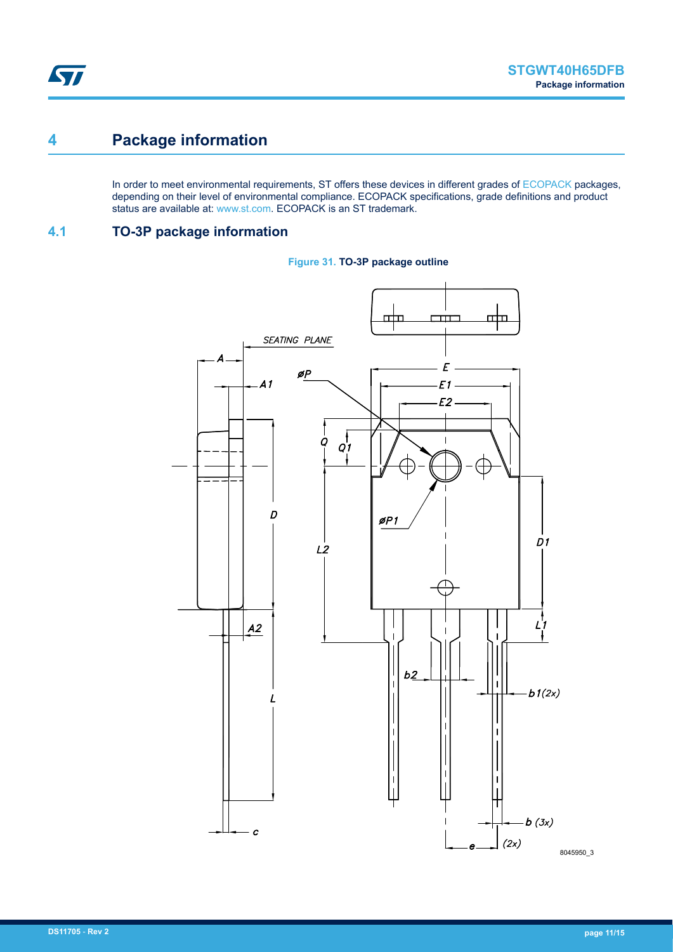### <span id="page-10-0"></span>**4 Package information**

In order to meet environmental requirements, ST offers these devices in different grades of [ECOPACK](https://www.st.com/ecopack) packages, depending on their level of environmental compliance. ECOPACK specifications, grade definitions and product status are available at: [www.st.com.](http://www.st.com) ECOPACK is an ST trademark.

### **4.1 TO-3P package information**



#### **Figure 31. TO-3P package outline**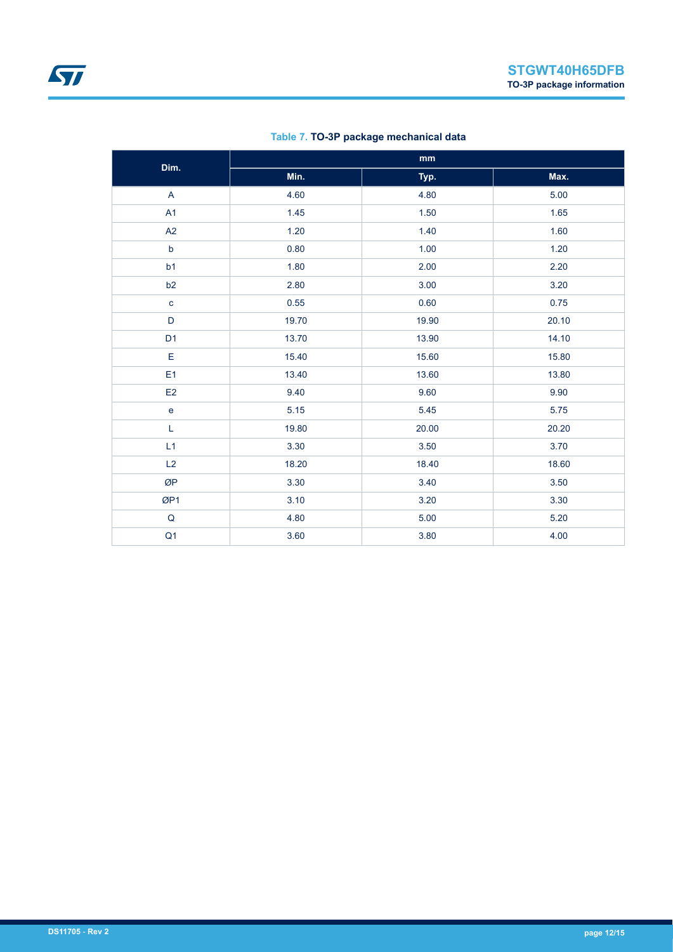| Dim.                              | mm    |       |       |  |  |
|-----------------------------------|-------|-------|-------|--|--|
|                                   | Min.  | Typ.  | Max.  |  |  |
| A                                 | 4.60  | 4.80  | 5.00  |  |  |
| A1                                | 1.45  | 1.50  | 1.65  |  |  |
| A2                                | 1.20  | 1.40  | 1.60  |  |  |
| $\mathsf b$                       | 0.80  | 1.00  | 1.20  |  |  |
| b <sub>1</sub>                    | 1.80  | 2.00  | 2.20  |  |  |
| b2                                | 2.80  | 3.00  | 3.20  |  |  |
| $\mathbf c$                       | 0.55  | 0.60  | 0.75  |  |  |
| $\mathsf D$                       | 19.70 | 19.90 | 20.10 |  |  |
| D <sub>1</sub>                    | 13.70 | 13.90 | 14.10 |  |  |
| E                                 | 15.40 | 15.60 | 15.80 |  |  |
| E <sub>1</sub>                    | 13.40 | 13.60 | 13.80 |  |  |
| E <sub>2</sub>                    | 9.40  | 9.60  | 9.90  |  |  |
| $\mathsf{e}% _{t}\left( t\right)$ | 5.15  | 5.45  | 5.75  |  |  |
| $\mathsf L$                       | 19.80 | 20.00 | 20.20 |  |  |
| L1                                | 3.30  | 3.50  | 3.70  |  |  |
| L2                                | 18.20 | 18.40 | 18.60 |  |  |
| ØP                                | 3.30  | 3.40  | 3.50  |  |  |
| ØP1                               | 3.10  | 3.20  | 3.30  |  |  |
| $\mathsf Q$                       | 4.80  | 5.00  | 5.20  |  |  |
| Q <sub>1</sub>                    | 3.60  | 3.80  | 4.00  |  |  |

#### **Table 7. TO-3P package mechanical data**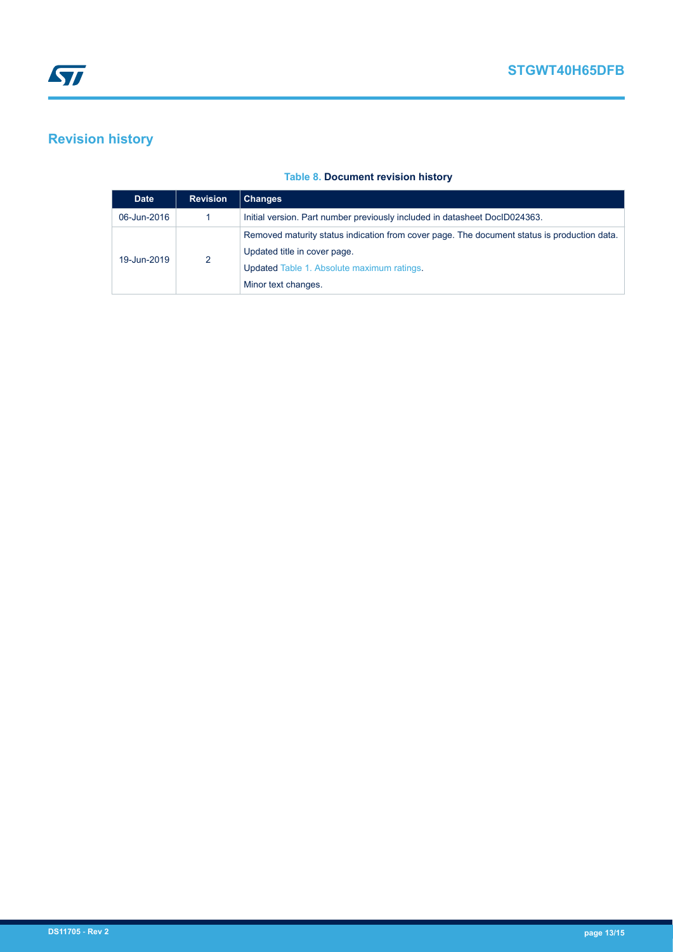## <span id="page-12-0"></span>**Revision history**

#### **Table 8. Document revision history**

| <b>Date</b> | <b>Revision</b> | <b>Changes</b>                                                                              |  |  |
|-------------|-----------------|---------------------------------------------------------------------------------------------|--|--|
| 06-Jun-2016 |                 | Initial version. Part number previously included in datasheet DocID024363.                  |  |  |
|             | 2               | Removed maturity status indication from cover page. The document status is production data. |  |  |
| 19-Jun-2019 |                 | Updated title in cover page.                                                                |  |  |
|             |                 | Updated Table 1. Absolute maximum ratings.                                                  |  |  |
|             |                 | Minor text changes.                                                                         |  |  |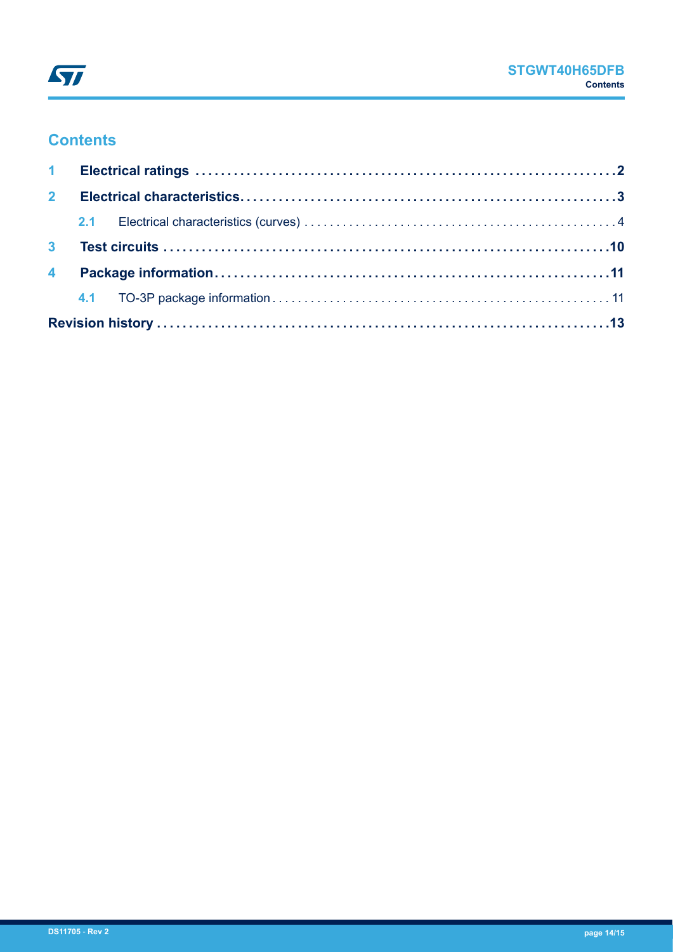

### **Contents**

| 2 <sup>7</sup> |  |  |  |  |  |  |  |
|----------------|--|--|--|--|--|--|--|
|                |  |  |  |  |  |  |  |
|                |  |  |  |  |  |  |  |
|                |  |  |  |  |  |  |  |
|                |  |  |  |  |  |  |  |
|                |  |  |  |  |  |  |  |